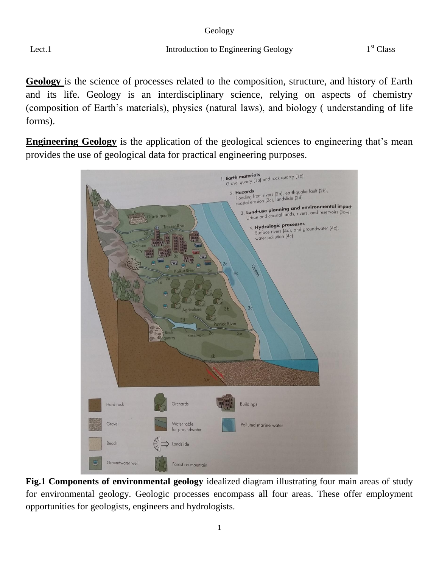| Greology |
|----------|
|----------|

Geology is the science of processes related to the composition, structure, and history of Earth and its life. Geology is an interdisciplinary science, relying on aspects of chemistry (composition of Earth's materials), physics (natural laws), and biology ( understanding of life forms).

**Engineering Geology** is the application of the geological sciences to engineering that's mean provides the use of geological data for practical engineering purposes.



**Fig.1 Components of environmental geology** idealized diagram illustrating four main areas of study for environmental geology. Geologic processes encompass all four areas. These offer employment opportunities for geologists, engineers and hydrologists.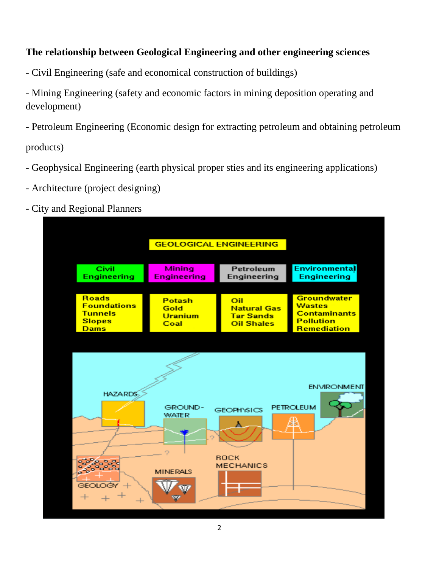# **The relationship between Geological Engineering and other engineering sciences**

- Civil Engineering (safe and economical construction of buildings)

- Mining Engineering (safety and economic factors in mining deposition operating and development)

- Petroleum Engineering (Economic design for extracting petroleum and obtaining petroleum

products)

- Geophysical Engineering (earth physical proper sties and its engineering applications)
- Architecture (project designing)
- City and Regional Planners

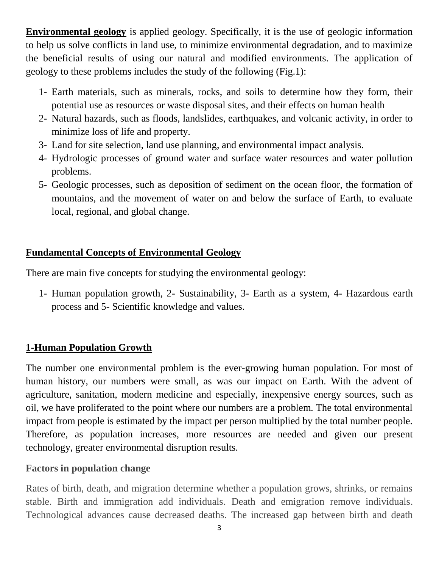**Environmental geology** is applied geology. Specifically, it is the use of geologic information to help us solve conflicts in land use, to minimize environmental degradation, and to maximize the beneficial results of using our natural and modified environments. The application of geology to these problems includes the study of the following (Fig.1):

- 1- Earth materials, such as minerals, rocks, and soils to determine how they form, their potential use as resources or waste disposal sites, and their effects on human health
- 2- Natural hazards, such as floods, landslides, earthquakes, and volcanic activity, in order to minimize loss of life and property.
- 3- Land for site selection, land use planning, and environmental impact analysis.
- 4- Hydrologic processes of ground water and surface water resources and water pollution problems.
- 5- Geologic processes, such as deposition of sediment on the ocean floor, the formation of mountains, and the movement of water on and below the surface of Earth, to evaluate local, regional, and global change.

## **Fundamental Concepts of Environmental Geology**

There are main five concepts for studying the environmental geology:

1- Human population growth, 2- Sustainability, 3- Earth as a system, 4- Hazardous earth process and 5- Scientific knowledge and values.

# **1-Human Population Growth**

The number one environmental problem is the ever-growing human population. For most of human history, our numbers were small, as was our impact on Earth. With the advent of agriculture, sanitation, modern medicine and especially, inexpensive energy sources, such as oil, we have proliferated to the point where our numbers are a problem. The total environmental impact from people is estimated by the impact per person multiplied by the total number people. Therefore, as population increases, more resources are needed and given our present technology, greater environmental disruption results.

# **Factors in population change**

Rates of birth, death, and migration determine whether a population grows, shrinks, or remains stable. Birth and immigration add individuals. Death and emigration remove individuals. Technological advances cause decreased deaths. The increased gap between birth and death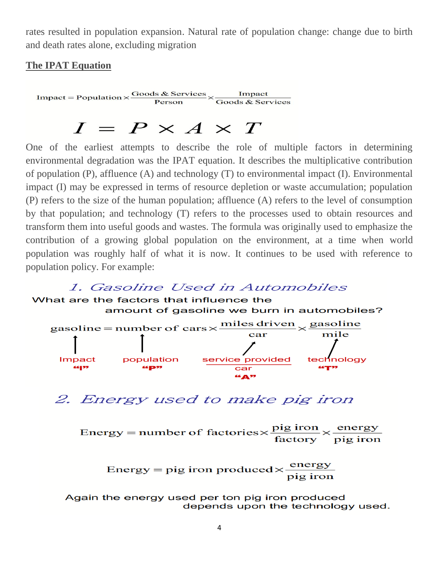rates resulted in population expansion. Natural rate of population change: change due to birth and death rates alone, excluding migration

#### **The IPAT Equation**

Impact = Population  $\times \frac{\text{Goods \& \text{ Services}}}{\text{Person}} \times \frac{\text{Import}}{\text{Goods \& \text{ Services}}}$ 

# $I = P \times A \times T$

One of the earliest attempts to describe the role of multiple factors in determining environmental degradation was the IPAT equation. It describes the multiplicative contribution of population (P), affluence (A) and technology (T) to environmental impact (I). Environmental impact (I) may be expressed in terms of resource depletion or waste accumulation; population (P) refers to the size of the human population; affluence (A) refers to the level of consumption by that population; and technology (T) refers to the processes used to obtain resources and transform them into useful goods and wastes. The formula was originally used to emphasize the contribution of a growing global population on the environment, at a time when world population was roughly half of what it is now. It continues to be used with reference to population policy. For example:

### 1. Gasoline Used in Automobiles

What are the factors that influence the amount of gasoline we burn in automobiles? gasoline = number of cars  $\times$  miles driven  $\times$  gasoline

| $\sim$ |            | car                       | mile          |
|--------|------------|---------------------------|---------------|
|        |            |                           |               |
| Impact | population | service provided          | technology    |
| 66 37  | 66 p.77    | car                       | <b>AGT-77</b> |
|        |            | <b>GEAR</b> <sub>22</sub> |               |

2. Energy used to make pig iron

Energy = number of factories  $\times \frac{pig \text{ iron}}{factors} \times \frac{energy}{pig \text{ iron}}$ 

```
Energy = pig iron produced \times \frac{\text{energy}}{\text{pi} \cdot \text{pi}}
```
Again the energy used per ton pig iron produced depends upon the technology used.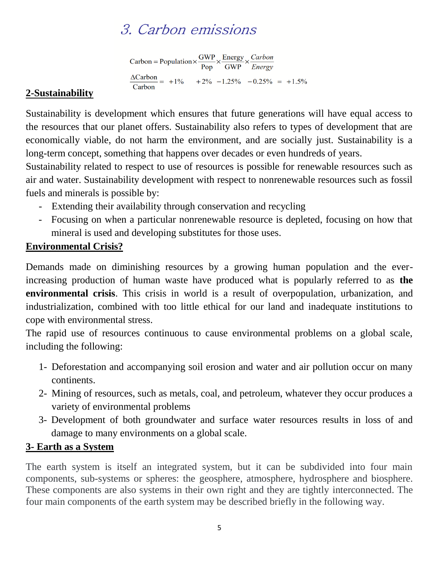# 3. Carbon emissions

Carbon = Population  $\times \frac{\text{GWP}}{\text{Pop}} \times \frac{\text{Energy}}{\text{GWP}} \times \frac{\text{Carbon}}{\text{Energy}}$  $\frac{\Delta \text{Carbon}}{\text{Corbon}} = +1\% \qquad +2\% \quad -1.25\% \quad -0.25\% \quad = +1.5\%$ Carbon

### **2-Sustainability**

Sustainability is development which ensures that future generations will have equal access to the resources that our planet offers. Sustainability also refers to types of development that are economically viable, do not harm the environment, and are socially just. Sustainability is a long-term concept, something that happens over decades or even hundreds of years.

Sustainability related to respect to use of resources is possible for renewable resources such as air and water. Sustainability development with respect to nonrenewable resources such as fossil fuels and minerals is possible by:

- Extending their availability through conservation and recycling
- Focusing on when a particular nonrenewable resource is depleted, focusing on how that mineral is used and developing substitutes for those uses.

# **Environmental Crisis?**

Demands made on diminishing resources by a growing human population and the everincreasing production of human waste have produced what is popularly referred to as **the environmental crisis**. This crisis in world is a result of overpopulation, urbanization, and industrialization, combined with too little ethical for our land and inadequate institutions to cope with environmental stress.

The rapid use of resources continuous to cause environmental problems on a global scale, including the following:

- 1- Deforestation and accompanying soil erosion and water and air pollution occur on many continents.
- 2- Mining of resources, such as metals, coal, and petroleum, whatever they occur produces a variety of environmental problems
- 3- Development of both groundwater and surface water resources results in loss of and damage to many environments on a global scale.

# **3- Earth as a System**

The earth system is itself an integrated system, but it can be subdivided into four main components, sub-systems or spheres: the geosphere, atmosphere, hydrosphere and biosphere. These components are also systems in their own right and they are tightly interconnected. The four main components of the earth system may be described briefly in the following way.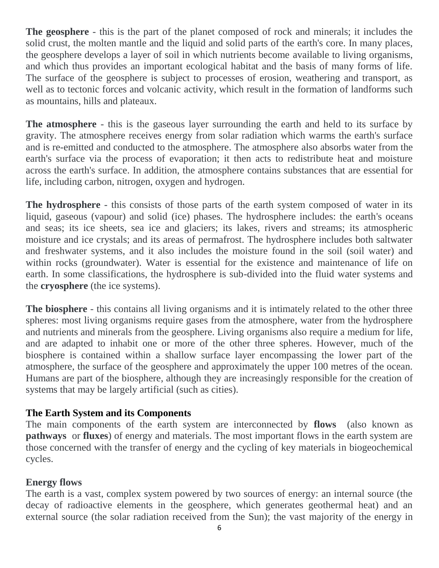**The geosphere** - this is the part of the planet composed of rock and minerals; it includes the solid crust, the molten mantle and the liquid and solid parts of the earth's core. In many places, the geosphere develops a layer of soil in which nutrients become available to living organisms, and which thus provides an important ecological habitat and the basis of many forms of life. The surface of the geosphere is subject to processes of erosion, weathering and transport, as well as to tectonic forces and volcanic activity, which result in the formation of landforms such as mountains, hills and plateaux.

**The atmosphere** - this is the gaseous layer surrounding the earth and held to its surface by gravity. The atmosphere receives energy from solar radiation which warms the earth's surface and is re-emitted and conducted to the atmosphere. The atmosphere also absorbs water from the earth's surface via the process of evaporation; it then acts to redistribute heat and moisture across the earth's surface. In addition, the atmosphere contains substances that are essential for life, including carbon, nitrogen, oxygen and hydrogen.

**The hydrosphere** - this consists of those parts of the earth system composed of water in its liquid, gaseous (vapour) and solid (ice) phases. The hydrosphere includes: the earth's oceans and seas; its ice sheets, sea ice and glaciers; its lakes, rivers and streams; its atmospheric moisture and ice crystals; and its areas of permafrost. The hydrosphere includes both saltwater and freshwater systems, and it also includes the moisture found in the soil (soil water) and within rocks (groundwater). Water is essential for the existence and maintenance of life on earth. In some classifications, the hydrosphere is sub-divided into the fluid water systems and the **cryosphere** (the ice systems).

**The biosphere** - this contains all living organisms and it is intimately related to the other three spheres: most living organisms require gases from the atmosphere, water from the hydrosphere and nutrients and minerals from the geosphere. Living organisms also require a medium for life, and are adapted to inhabit one or more of the other three spheres. However, much of the biosphere is contained within a shallow surface layer encompassing the lower part of the atmosphere, the surface of the geosphere and approximately the upper 100 metres of the ocean. Humans are part of the biosphere, although they are increasingly responsible for the creation of systems that may be largely artificial (such as cities).

#### **The Earth System and its Components**

The main components of the earth system are interconnected by **flows** (also known as **pathways** or **fluxes**) of energy and materials. The most important flows in the earth system are those concerned with the transfer of energy and the cycling of key materials in biogeochemical cycles.

### **Energy flows**

The earth is a vast, complex system powered by two sources of energy: an internal source (the decay of radioactive elements in the geosphere, which generates geothermal heat) and an external source (the solar radiation received from the Sun); the vast majority of the energy in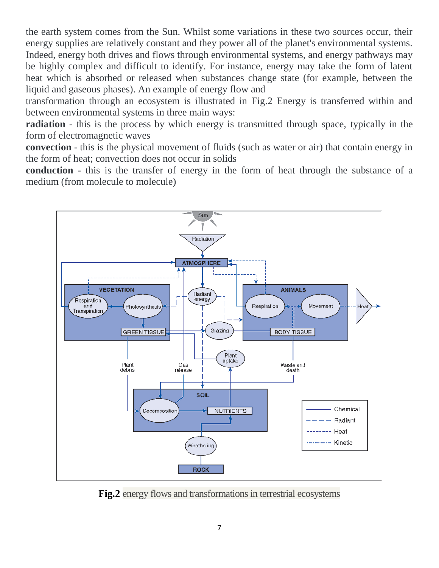the earth system comes from the Sun. Whilst some variations in these two sources occur, their energy supplies are relatively constant and they power all of the planet's environmental systems. Indeed, energy both drives and flows through environmental systems, and energy pathways may be highly complex and difficult to identify. For instance, energy may take the form of latent heat which is absorbed or released when substances change state (for example, between the liquid and gaseous phases). An example of energy flow and

transformation through an ecosystem is illustrated in Fig.2 Energy is transferred within and between environmental systems in three main ways:

**radiation** - this is the process by which energy is transmitted through space, typically in the form of electromagnetic waves

**convection** - this is the physical movement of fluids (such as water or air) that contain energy in the form of heat; convection does not occur in solids

**conduction** - this is the transfer of energy in the form of heat through the substance of a medium (from molecule to molecule)



**Fig.2** energy flows and transformations in terrestrial ecosystems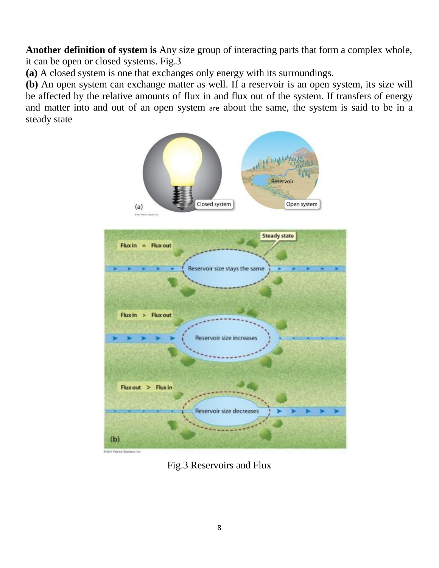**Another definition of system is** Any size group of interacting parts that form a complex whole, it can be open or closed systems. Fig.3

**(a)** A closed system is one that exchanges only energy with its surroundings.

**(b)** An open system can exchange matter as well. If a reservoir is an open system, its size will be affected by the relative amounts of flux in and flux out of the system. If transfers of energy and matter into and out of an open system are about the same, the system is said to be in a steady state



(IT) Peachon Eds

Fig.3 Reservoirs and Flux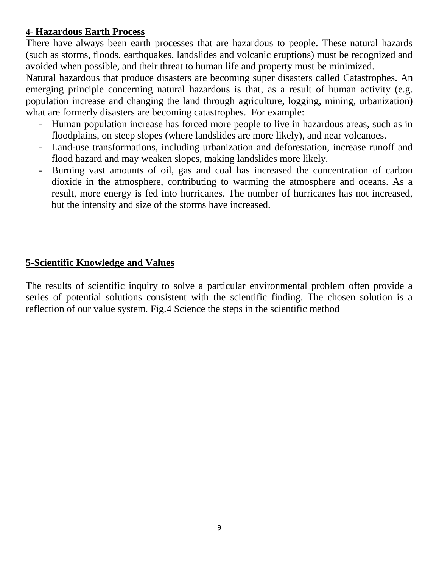### **4- Hazardous Earth Process**

There have always been earth processes that are hazardous to people. These natural hazards (such as storms, floods, earthquakes, landslides and volcanic eruptions) must be recognized and avoided when possible, and their threat to human life and property must be minimized.

Natural hazardous that produce disasters are becoming super disasters called Catastrophes. An emerging principle concerning natural hazardous is that, as a result of human activity (e.g. population increase and changing the land through agriculture, logging, mining, urbanization) what are formerly disasters are becoming catastrophes. For example:

- Human population increase has forced more people to live in hazardous areas, such as in floodplains, on steep slopes (where landslides are more likely), and near volcanoes.
- Land-use transformations, including urbanization and deforestation, increase runoff and flood hazard and may weaken slopes, making landslides more likely.
- Burning vast amounts of oil, gas and coal has increased the concentration of carbon dioxide in the atmosphere, contributing to warming the atmosphere and oceans. As a result, more energy is fed into hurricanes. The number of hurricanes has not increased, but the intensity and size of the storms have increased.

#### **5-Scientific Knowledge and Values**

The results of scientific inquiry to solve a particular environmental problem often provide a series of potential solutions consistent with the scientific finding. The chosen solution is a reflection of our value system. Fig.4 Science the steps in the scientific method